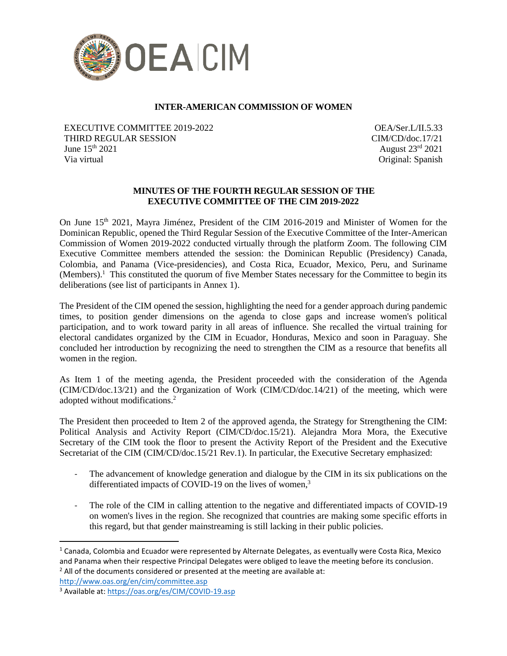

# **INTER-AMERICAN COMMISSION OF WOMEN**

EXECUTIVE COMMITTEE 2019-2022 THIRD REGULAR SESSION June  $15^{th}$  2021 Via virtual

OEA/Ser.L/II.5.33 CIM/CD/doc.17/21 August 23rd 2021 Original: Spanish

## **MINUTES OF THE FOURTH REGULAR SESSION OF THE EXECUTIVE COMMITTEE OF THE CIM 2019-2022**

On June 15<sup>th</sup> 2021, Mayra Jiménez, President of the CIM 2016-2019 and Minister of Women for the Dominican Republic, opened the Third Regular Session of the Executive Committee of the Inter-American Commission of Women 2019-2022 conducted virtually through the platform Zoom. The following CIM Executive Committee members attended the session: the Dominican Republic (Presidency) Canada, Colombia, and Panama (Vice-presidencies), and Costa Rica, Ecuador, Mexico, Peru, and Suriname (Members).<sup>1</sup> This constituted the quorum of five Member States necessary for the Committee to begin its deliberations (see list of participants in Annex 1).

The President of the CIM opened the session, highlighting the need for a gender approach during pandemic times, to position gender dimensions on the agenda to close gaps and increase women's political participation, and to work toward parity in all areas of influence. She recalled the virtual training for electoral candidates organized by the CIM in Ecuador, Honduras, Mexico and soon in Paraguay. She concluded her introduction by recognizing the need to strengthen the CIM as a resource that benefits all women in the region.

As Item 1 of the meeting agenda, the President proceeded with the consideration of the Agenda (CIM/CD/doc.13/21) and the Organization of Work (CIM/CD/doc.14/21) of the meeting, which were adopted without modifications.<sup>2</sup>

The President then proceeded to Item 2 of the approved agenda, the Strategy for Strengthening the CIM: Political Analysis and Activity Report (CIM/CD/doc.15/21). Alejandra Mora Mora, the Executive Secretary of the CIM took the floor to present the Activity Report of the President and the Executive Secretariat of the CIM (CIM/CD/doc.15/21 Rev.1). In particular, the Executive Secretary emphasized:

- The advancement of knowledge generation and dialogue by the CIM in its six publications on the differentiated impacts of COVID-19 on the lives of women,<sup>3</sup>
- The role of the CIM in calling attention to the negative and differentiated impacts of COVID-19 on women's lives in the region. She recognized that countries are making some specific efforts in this regard, but that gender mainstreaming is still lacking in their public policies.

<http://www.oas.org/en/cim/committee.asp>

 $1$  Canada, Colombia and Ecuador were represented by Alternate Delegates, as eventually were Costa Rica, Mexico and Panama when their respective Principal Delegates were obliged to leave the meeting before its conclusion.  $2$  All of the documents considered or presented at the meeting are available at:

<sup>3</sup> Available at: <https://oas.org/es/CIM/COVID-19.asp>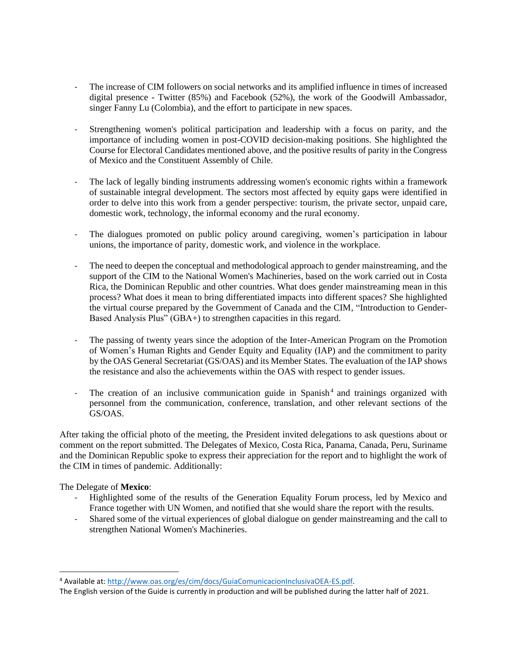- The increase of CIM followers on social networks and its amplified influence in times of increased digital presence - Twitter (85%) and Facebook (52%), the work of the Goodwill Ambassador, singer Fanny Lu (Colombia), and the effort to participate in new spaces.
- Strengthening women's political participation and leadership with a focus on parity, and the importance of including women in post-COVID decision-making positions. She highlighted the Course for Electoral Candidates mentioned above, and the positive results of parity in the Congress of Mexico and the Constituent Assembly of Chile.
- The lack of legally binding instruments addressing women's economic rights within a framework of sustainable integral development. The sectors most affected by equity gaps were identified in order to delve into this work from a gender perspective: tourism, the private sector, unpaid care, domestic work, technology, the informal economy and the rural economy.
- The dialogues promoted on public policy around caregiving, women's participation in labour unions, the importance of parity, domestic work, and violence in the workplace.
- The need to deepen the conceptual and methodological approach to gender mainstreaming, and the support of the CIM to the National Women's Machineries, based on the work carried out in Costa Rica, the Dominican Republic and other countries. What does gender mainstreaming mean in this process? What does it mean to bring differentiated impacts into different spaces? She highlighted the virtual course prepared by the Government of Canada and the CIM, "Introduction to Gender-Based Analysis Plus" (GBA+) to strengthen capacities in this regard.
- The passing of twenty years since the adoption of the Inter-American Program on the Promotion of Women's Human Rights and Gender Equity and Equality (IAP) and the commitment to parity by the OAS General Secretariat (GS/OAS) and its Member States. The evaluation of the IAP shows the resistance and also the achievements within the OAS with respect to gender issues.
- The creation of an inclusive communication guide in Spanish<sup>4</sup> and trainings organized with personnel from the communication, conference, translation, and other relevant sections of the GS/OAS.

After taking the official photo of the meeting, the President invited delegations to ask questions about or comment on the report submitted. The Delegates of Mexico, Costa Rica, Panama, Canada, Peru, Suriname and the Dominican Republic spoke to express their appreciation for the report and to highlight the work of the CIM in times of pandemic. Additionally:

The Delegate of **Mexico**:

- Highlighted some of the results of the Generation Equality Forum process, led by Mexico and France together with UN Women, and notified that she would share the report with the results.
- Shared some of the virtual experiences of global dialogue on gender mainstreaming and the call to strengthen National Women's Machineries.

<sup>4</sup> Available at: [http://www.oas.org/es/cim/docs/GuiaComunicacionInclusivaOEA-ES.pdf.](http://www.oas.org/es/cim/docs/GuiaComunicacionInclusivaOEA-ES.pdf)

The English version of the Guide is currently in production and will be published during the latter half of 2021.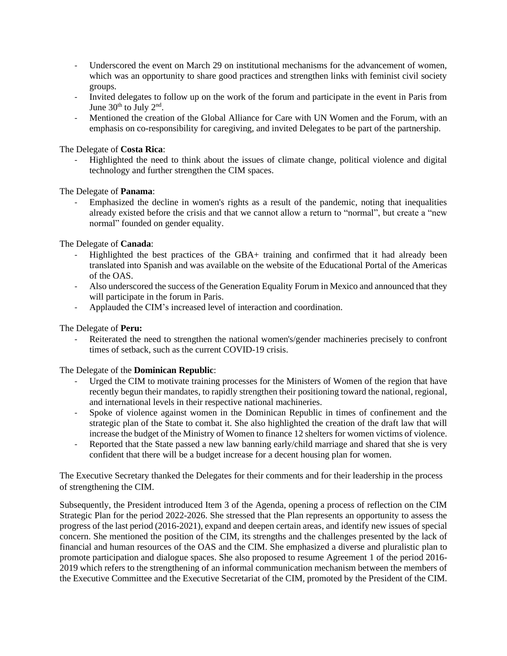- Underscored the event on March 29 on institutional mechanisms for the advancement of women, which was an opportunity to share good practices and strengthen links with feminist civil society groups.
- Invited delegates to follow up on the work of the forum and participate in the event in Paris from June  $30<sup>th</sup>$  to July  $2<sup>nd</sup>$ .
- Mentioned the creation of the Global Alliance for Care with UN Women and the Forum, with an emphasis on co-responsibility for caregiving, and invited Delegates to be part of the partnership.

The Delegate of **Costa Rica**:

- Highlighted the need to think about the issues of climate change, political violence and digital technology and further strengthen the CIM spaces.

The Delegate of **Panama**:

Emphasized the decline in women's rights as a result of the pandemic, noting that inequalities already existed before the crisis and that we cannot allow a return to "normal", but create a "new normal" founded on gender equality.

The Delegate of **Canada**:

- Highlighted the best practices of the GBA+ training and confirmed that it had already been translated into Spanish and was available on the website of the Educational Portal of the Americas of the OAS.
- Also underscored the success of the Generation Equality Forum in Mexico and announced that they will participate in the forum in Paris.
- Applauded the CIM's increased level of interaction and coordination.

The Delegate of **Peru:**

Reiterated the need to strengthen the national women's/gender machineries precisely to confront times of setback, such as the current COVID-19 crisis.

The Delegate of the **Dominican Republic**:

- Urged the CIM to motivate training processes for the Ministers of Women of the region that have recently begun their mandates, to rapidly strengthen their positioning toward the national, regional, and international levels in their respective national machineries.
- Spoke of violence against women in the Dominican Republic in times of confinement and the strategic plan of the State to combat it. She also highlighted the creation of the draft law that will increase the budget of the Ministry of Women to finance 12 shelters for women victims of violence.
- Reported that the State passed a new law banning early/child marriage and shared that she is very confident that there will be a budget increase for a decent housing plan for women.

The Executive Secretary thanked the Delegates for their comments and for their leadership in the process of strengthening the CIM.

Subsequently, the President introduced Item 3 of the Agenda, opening a process of reflection on the CIM Strategic Plan for the period 2022-2026. She stressed that the Plan represents an opportunity to assess the progress of the last period (2016-2021), expand and deepen certain areas, and identify new issues of special concern. She mentioned the position of the CIM, its strengths and the challenges presented by the lack of financial and human resources of the OAS and the CIM. She emphasized a diverse and pluralistic plan to promote participation and dialogue spaces. She also proposed to resume Agreement 1 of the period 2016- 2019 which refers to the strengthening of an informal communication mechanism between the members of the Executive Committee and the Executive Secretariat of the CIM, promoted by the President of the CIM.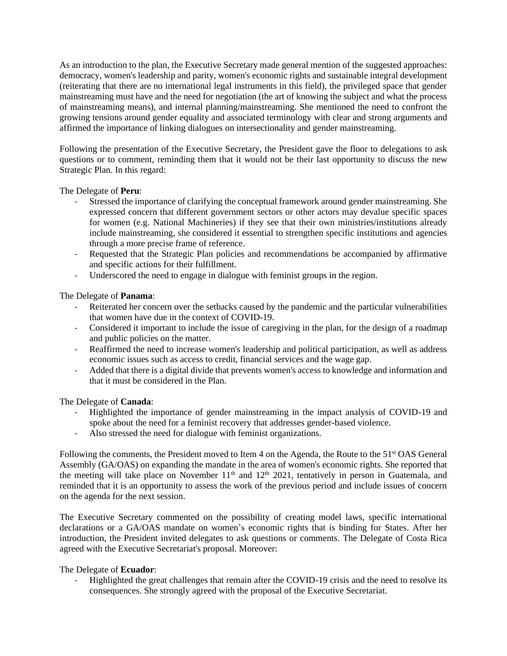As an introduction to the plan, the Executive Secretary made general mention of the suggested approaches: democracy, women's leadership and parity, women's economic rights and sustainable integral development (reiterating that there are no international legal instruments in this field), the privileged space that gender mainstreaming must have and the need for negotiation (the art of knowing the subject and what the process of mainstreaming means), and internal planning/mainstreaming. She mentioned the need to confront the growing tensions around gender equality and associated terminology with clear and strong arguments and affirmed the importance of linking dialogues on intersectionality and gender mainstreaming.

Following the presentation of the Executive Secretary, the President gave the floor to delegations to ask questions or to comment, reminding them that it would not be their last opportunity to discuss the new Strategic Plan. In this regard:

# The Delegate of **Peru**:

- Stressed the importance of clarifying the conceptual framework around gender mainstreaming. She expressed concern that different government sectors or other actors may devalue specific spaces for women (e.g. National Machineries) if they see that their own ministries/institutions already include mainstreaming, she considered it essential to strengthen specific institutions and agencies through a more precise frame of reference.
- Requested that the Strategic Plan policies and recommendations be accompanied by affirmative and specific actions for their fulfillment.
- Underscored the need to engage in dialogue with feminist groups in the region.

# The Delegate of **Panama**:

- Reiterated her concern over the setbacks caused by the pandemic and the particular vulnerabilities that women have due in the context of COVID-19.
- Considered it important to include the issue of caregiving in the plan, for the design of a roadmap and public policies on the matter.
- Reaffirmed the need to increase women's leadership and political participation, as well as address economic issues such as access to credit, financial services and the wage gap.
- Added that there is a digital divide that prevents women's access to knowledge and information and that it must be considered in the Plan.

The Delegate of **Canada**:

- Highlighted the importance of gender mainstreaming in the impact analysis of COVID-19 and spoke about the need for a feminist recovery that addresses gender-based violence.
- Also stressed the need for dialogue with feminist organizations.

Following the comments, the President moved to Item 4 on the Agenda, the Route to the 51<sup>st</sup> OAS General Assembly (GA/OAS) on expanding the mandate in the area of women's economic rights. She reported that the meeting will take place on November  $11<sup>th</sup>$  and  $12<sup>th</sup>$  2021, tentatively in person in Guatemala, and reminded that it is an opportunity to assess the work of the previous period and include issues of concern on the agenda for the next session.

The Executive Secretary commented on the possibility of creating model laws, specific international declarations or a GA/OAS mandate on women's economic rights that is binding for States. After her introduction, the President invited delegates to ask questions or comments. The Delegate of Costa Rica agreed with the Executive Secretariat's proposal. Moreover:

## The Delegate of **Ecuador**:

- Highlighted the great challenges that remain after the COVID-19 crisis and the need to resolve its consequences. She strongly agreed with the proposal of the Executive Secretariat.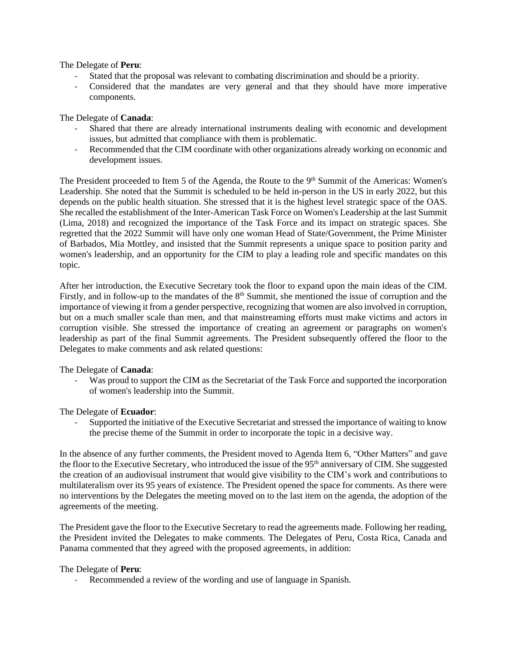The Delegate of **Peru**:

- Stated that the proposal was relevant to combating discrimination and should be a priority.
- Considered that the mandates are very general and that they should have more imperative components.

The Delegate of **Canada**:

- Shared that there are already international instruments dealing with economic and development issues, but admitted that compliance with them is problematic.
- Recommended that the CIM coordinate with other organizations already working on economic and development issues.

The President proceeded to Item 5 of the Agenda, the Route to the 9<sup>th</sup> Summit of the Americas: Women's Leadership. She noted that the Summit is scheduled to be held in-person in the US in early 2022, but this depends on the public health situation. She stressed that it is the highest level strategic space of the OAS. She recalled the establishment of the Inter-American Task Force on Women's Leadership at the last Summit (Lima, 2018) and recognized the importance of the Task Force and its impact on strategic spaces. She regretted that the 2022 Summit will have only one woman Head of State/Government, the Prime Minister of Barbados, Mia Mottley, and insisted that the Summit represents a unique space to position parity and women's leadership, and an opportunity for the CIM to play a leading role and specific mandates on this topic.

After her introduction, the Executive Secretary took the floor to expand upon the main ideas of the CIM. Firstly, and in follow-up to the mandates of the  $8<sup>th</sup>$  Summit, she mentioned the issue of corruption and the importance of viewing it from a gender perspective, recognizing that women are also involved in corruption, but on a much smaller scale than men, and that mainstreaming efforts must make victims and actors in corruption visible. She stressed the importance of creating an agreement or paragraphs on women's leadership as part of the final Summit agreements. The President subsequently offered the floor to the Delegates to make comments and ask related questions:

The Delegate of **Canada**:

Was proud to support the CIM as the Secretariat of the Task Force and supported the incorporation of women's leadership into the Summit.

The Delegate of **Ecuador**:

- Supported the initiative of the Executive Secretariat and stressed the importance of waiting to know the precise theme of the Summit in order to incorporate the topic in a decisive way.

In the absence of any further comments, the President moved to Agenda Item 6, "Other Matters" and gave the floor to the Executive Secretary, who introduced the issue of the 95<sup>th</sup> anniversary of CIM. She suggested the creation of an audiovisual instrument that would give visibility to the CIM's work and contributions to multilateralism over its 95 years of existence. The President opened the space for comments. As there were no interventions by the Delegates the meeting moved on to the last item on the agenda, the adoption of the agreements of the meeting.

The President gave the floor to the Executive Secretary to read the agreements made. Following her reading, the President invited the Delegates to make comments. The Delegates of Peru, Costa Rica, Canada and Panama commented that they agreed with the proposed agreements, in addition:

## The Delegate of **Peru**:

Recommended a review of the wording and use of language in Spanish.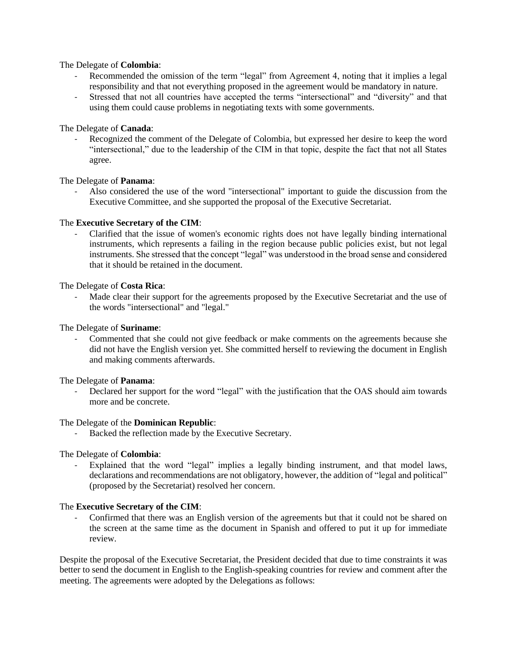## The Delegate of **Colombia**:

- Recommended the omission of the term "legal" from Agreement 4, noting that it implies a legal responsibility and that not everything proposed in the agreement would be mandatory in nature.
- Stressed that not all countries have accepted the terms "intersectional" and "diversity" and that using them could cause problems in negotiating texts with some governments.

#### The Delegate of **Canada**:

Recognized the comment of the Delegate of Colombia, but expressed her desire to keep the word "intersectional," due to the leadership of the CIM in that topic, despite the fact that not all States agree.

#### The Delegate of **Panama**:

- Also considered the use of the word "intersectional" important to guide the discussion from the Executive Committee, and she supported the proposal of the Executive Secretariat.

## The **Executive Secretary of the CIM**:

- Clarified that the issue of women's economic rights does not have legally binding international instruments, which represents a failing in the region because public policies exist, but not legal instruments. She stressed that the concept "legal" was understood in the broad sense and considered that it should be retained in the document.

#### The Delegate of **Costa Rica**:

Made clear their support for the agreements proposed by the Executive Secretariat and the use of the words "intersectional" and "legal."

The Delegate of **Suriname**:

Commented that she could not give feedback or make comments on the agreements because she did not have the English version yet. She committed herself to reviewing the document in English and making comments afterwards.

The Delegate of **Panama**:

Declared her support for the word "legal" with the justification that the OAS should aim towards more and be concrete.

#### The Delegate of the **Dominican Republic**:

Backed the reflection made by the Executive Secretary.

## The Delegate of **Colombia**:

Explained that the word "legal" implies a legally binding instrument, and that model laws, declarations and recommendations are not obligatory, however, the addition of "legal and political" (proposed by the Secretariat) resolved her concern.

#### The **Executive Secretary of the CIM**:

- Confirmed that there was an English version of the agreements but that it could not be shared on the screen at the same time as the document in Spanish and offered to put it up for immediate review.

Despite the proposal of the Executive Secretariat, the President decided that due to time constraints it was better to send the document in English to the English-speaking countries for review and comment after the meeting. The agreements were adopted by the Delegations as follows: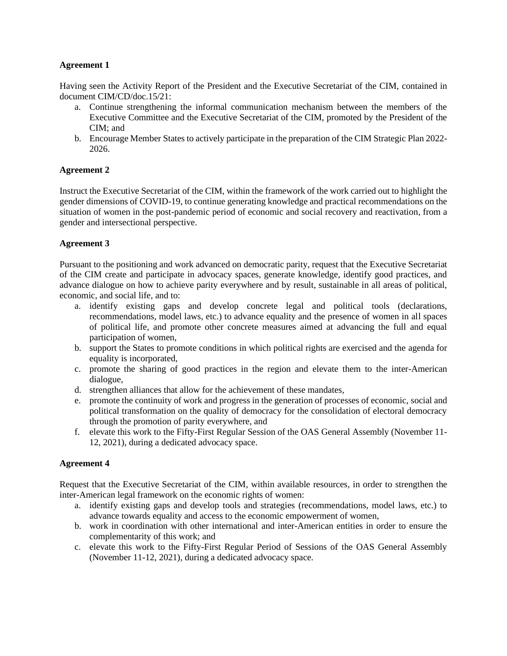## **Agreement 1**

Having seen the Activity Report of the President and the Executive Secretariat of the CIM, contained in document CIM/CD/doc.15/21:

- a. Continue strengthening the informal communication mechanism between the members of the Executive Committee and the Executive Secretariat of the CIM, promoted by the President of the CIM; and
- b. Encourage Member States to actively participate in the preparation of the CIM Strategic Plan 2022- 2026.

# **Agreement 2**

Instruct the Executive Secretariat of the CIM, within the framework of the work carried out to highlight the gender dimensions of COVID-19, to continue generating knowledge and practical recommendations on the situation of women in the post-pandemic period of economic and social recovery and reactivation, from a gender and intersectional perspective.

# **Agreement 3**

Pursuant to the positioning and work advanced on democratic parity, request that the Executive Secretariat of the CIM create and participate in advocacy spaces, generate knowledge, identify good practices, and advance dialogue on how to achieve parity everywhere and by result, sustainable in all areas of political, economic, and social life, and to:

- a. identify existing gaps and develop concrete legal and political tools (declarations, recommendations, model laws, etc.) to advance equality and the presence of women in all spaces of political life, and promote other concrete measures aimed at advancing the full and equal participation of women,
- b. support the States to promote conditions in which political rights are exercised and the agenda for equality is incorporated,
- c. promote the sharing of good practices in the region and elevate them to the inter-American dialogue,
- d. strengthen alliances that allow for the achievement of these mandates,
- e. promote the continuity of work and progress in the generation of processes of economic, social and political transformation on the quality of democracy for the consolidation of electoral democracy through the promotion of parity everywhere, and
- f. elevate this work to the Fifty-First Regular Session of the OAS General Assembly (November 11- 12, 2021), during a dedicated advocacy space.

## **Agreement 4**

Request that the Executive Secretariat of the CIM, within available resources, in order to strengthen the inter-American legal framework on the economic rights of women:

- a. identify existing gaps and develop tools and strategies (recommendations, model laws, etc.) to advance towards equality and access to the economic empowerment of women,
- b. work in coordination with other international and inter-American entities in order to ensure the complementarity of this work; and
- c. elevate this work to the Fifty-First Regular Period of Sessions of the OAS General Assembly (November 11-12, 2021), during a dedicated advocacy space.